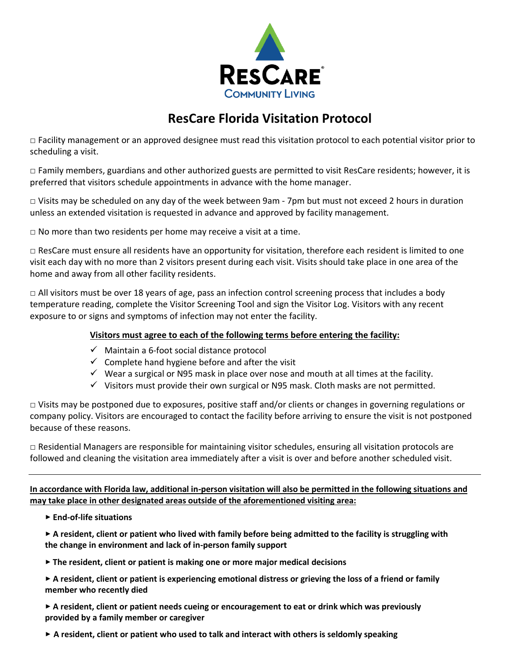

## **ResCare Florida Visitation Protocol**

 $\Box$  Facility management or an approved designee must read this visitation protocol to each potential visitor prior to scheduling a visit.

□ Family members, guardians and other authorized guests are permitted to visit ResCare residents; however, it is preferred that visitors schedule appointments in advance with the home manager.

□ Visits may be scheduled on any day of the week between 9am - 7pm but must not exceed 2 hours in duration unless an extended visitation is requested in advance and approved by facility management.

 $\Box$  No more than two residents per home may receive a visit at a time.

 $\Box$  ResCare must ensure all residents have an opportunity for visitation, therefore each resident is limited to one visit each day with no more than 2 visitors present during each visit. Visits should take place in one area of the home and away from all other facility residents.

□ All visitors must be over 18 years of age, pass an infection control screening process that includes a body temperature reading, complete the Visitor Screening Tool and sign the Visitor Log. Visitors with any recent exposure to or signs and symptoms of infection may not enter the facility.

## **Visitors must agree to each of the following terms before entering the facility:**

- ✓ Maintain a 6-foot social distance protocol
- $\checkmark$  Complete hand hygiene before and after the visit
- $\checkmark$  Wear a surgical or N95 mask in place over nose and mouth at all times at the facility.
- $\checkmark$  Visitors must provide their own surgical or N95 mask. Cloth masks are not permitted.

 $\Box$  Visits may be postponed due to exposures, positive staff and/or clients or changes in governing regulations or company policy. Visitors are encouraged to contact the facility before arriving to ensure the visit is not postponed because of these reasons.

□ Residential Managers are responsible for maintaining visitor schedules, ensuring all visitation protocols are followed and cleaning the visitation area immediately after a visit is over and before another scheduled visit.

**In accordance with Florida law, additional in-person visitation will also be permitted in the following situations and may take place in other designated areas outside of the aforementioned visiting area:**

**‣ End-of-life situations**

**‣ A resident, client or patient who lived with family before being admitted to the facility is struggling with the change in environment and lack of in-person family support**

- **‣ The resident, client or patient is making one or more major medical decisions**
- **‣ A resident, client or patient is experiencing emotional distress or grieving the loss of a friend or family member who recently died**

**‣ A resident, client or patient needs cueing or encouragement to eat or drink which was previously provided by a family member or caregiver**

**‣ A resident, client or patient who used to talk and interact with others is seldomly speaking**